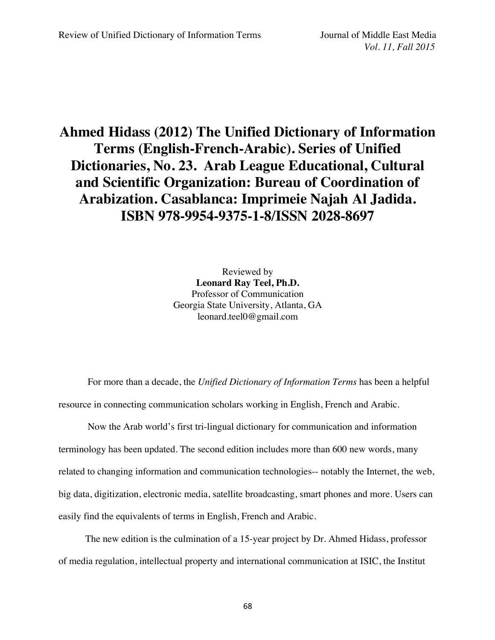## **Ahmed Hidass (2012) The Unified Dictionary of Information Terms (English-French-Arabic). Series of Unified Dictionaries, No. 23. Arab League Educational, Cultural and Scientific Organization: Bureau of Coordination of Arabization. Casablanca: Imprimeie Najah Al Jadida. ISBN 978-9954-9375-1-8/ISSN 2028-8697**

Reviewed by **Leonard Ray Teel, Ph.D.** Professor of Communication Georgia State University, Atlanta, GA leonard.teel0@gmail.com

For more than a decade, the *Unified Dictionary of Information Terms* has been a helpful resource in connecting communication scholars working in English, French and Arabic.

Now the Arab world's first tri-lingual dictionary for communication and information terminology has been updated. The second edition includes more than 600 new words, many related to changing information and communication technologies-- notably the Internet, the web, big data, digitization, electronic media, satellite broadcasting, smart phones and more. Users can easily find the equivalents of terms in English, French and Arabic.

 The new edition is the culmination of a 15-year project by Dr. Ahmed Hidass, professor of media regulation, intellectual property and international communication at ISIC, the Institut